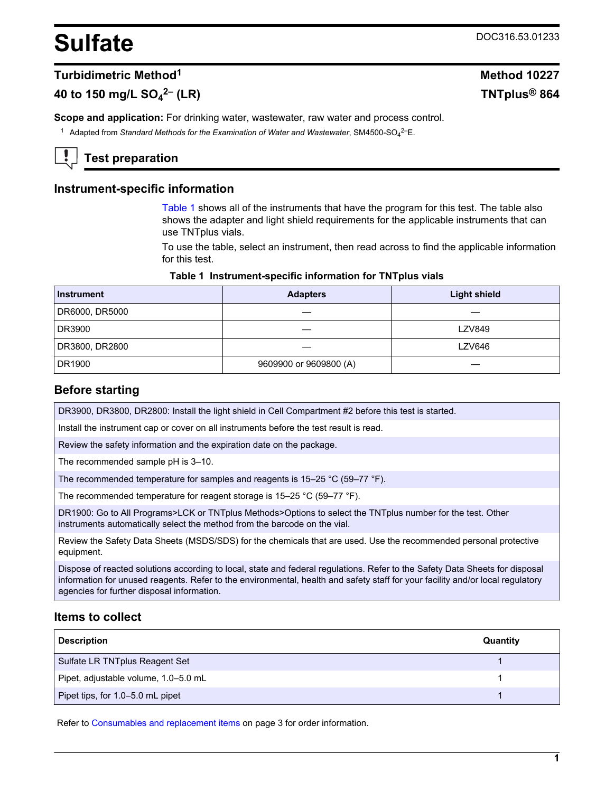# <span id="page-0-0"></span>**Sulfate** DOC316.53.01233

## **Turbidimetric Method<sup>1</sup> Method 10227**

# **40 to 150 mg/L SO<sup>4</sup>**

**Scope and application:** For drinking water, wastewater, raw water and process control.

<sup>1</sup> Adapted from *Standard Methods for the Examination of Water and Wastewater*, SM4500-SO<sub>4</sub><sup>2–</sup>E.

# **Test preparation**

## **Instrument-specific information**

Table 1 shows all of the instruments that have the program for this test. The table also shows the adapter and light shield requirements for the applicable instruments that can use TNTplus vials.

To use the table, select an instrument, then read across to find the applicable information for this test.

#### **Table 1 Instrument-specific information for TNTplus vials**

| <b>Instrument</b> | <b>Adapters</b>        | <b>Light shield</b> |
|-------------------|------------------------|---------------------|
| DR6000, DR5000    |                        |                     |
| DR3900            |                        | <b>LZV849</b>       |
| DR3800, DR2800    |                        | LZV646              |
| DR1900            | 9609900 or 9609800 (A) |                     |

## **Before starting**

DR3900, DR3800, DR2800: Install the light shield in Cell Compartment #2 before this test is started.

Install the instrument cap or cover on all instruments before the test result is read.

Review the safety information and the expiration date on the package.

The recommended sample pH is 3–10.

The recommended temperature for samples and reagents is 15–25 °C (59–77 °F).

The recommended temperature for reagent storage is 15–25 °C (59–77 °F).

DR1900: Go to All Programs>LCK or TNTplus Methods>Options to select the TNTplus number for the test. Other instruments automatically select the method from the barcode on the vial.

Review the Safety Data Sheets (MSDS/SDS) for the chemicals that are used. Use the recommended personal protective equipment.

Dispose of reacted solutions according to local, state and federal regulations. Refer to the Safety Data Sheets for disposal information for unused reagents. Refer to the environmental, health and safety staff for your facility and/or local regulatory agencies for further disposal information.

## **Items to collect**

| <b>Description</b>                   | Quantity |
|--------------------------------------|----------|
| Sulfate LR TNTplus Reagent Set       |          |
| Pipet, adjustable volume, 1.0-5.0 mL |          |
| Pipet tips, for 1.0-5.0 mL pipet     |          |

Refer to [Consumables and replacement items](#page-2-0) on page 3 for order information.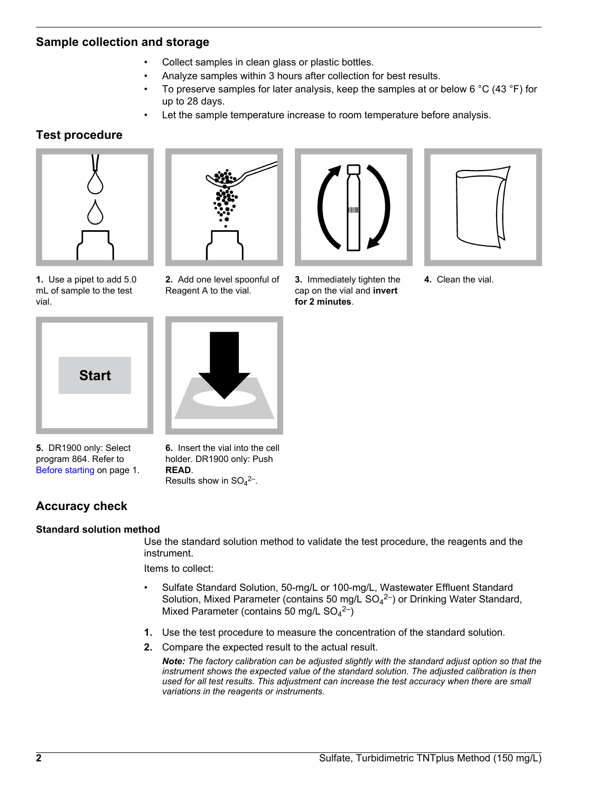## **Sample collection and storage**

- Collect samples in clean glass or plastic bottles.
- Analyze samples within 3 hours after collection for best results.
- To preserve samples for later analysis, keep the samples at or below 6  $\degree$ C (43  $\degree$ F) for up to 28 days.
- Let the sample temperature increase to room temperature before analysis.

# **Test procedure**



**1.** Use a pipet to add 5.0 mL of sample to the test vial.



**2.** Add one level spoonful of Reagent A to the vial.



**3.** Immediately tighten the cap on the vial and **invert for 2 minutes**.



**4.** Clean the vial.



**5.** DR1900 only: Select program 864. Refer to [Before starting](#page-0-0) on page 1.

**6.** Insert the vial into the cell holder. DR1900 only: Push **READ**. Results show in  $SO_4^2$ <sup>-</sup>.

# **Accuracy check**

## **Standard solution method**

Use the standard solution method to validate the test procedure, the reagents and the instrument.

Items to collect:

- Sulfate Standard Solution, 50-mg/L or 100-mg/L, Wastewater Effluent Standard Solution, Mixed Parameter (contains 50 mg/L  $SO_4^2$ ) or Drinking Water Standard, Mixed Parameter (contains 50 mg/L  $SO_4^2$ <sup>2-</sup>)
- **1.** Use the test procedure to measure the concentration of the standard solution.
- **2.** Compare the expected result to the actual result.

*Note: The factory calibration can be adjusted slightly with the standard adjust option so that the instrument shows the expected value of the standard solution. The adjusted calibration is then used for all test results. This adjustment can increase the test accuracy when there are small variations in the reagents or instruments.*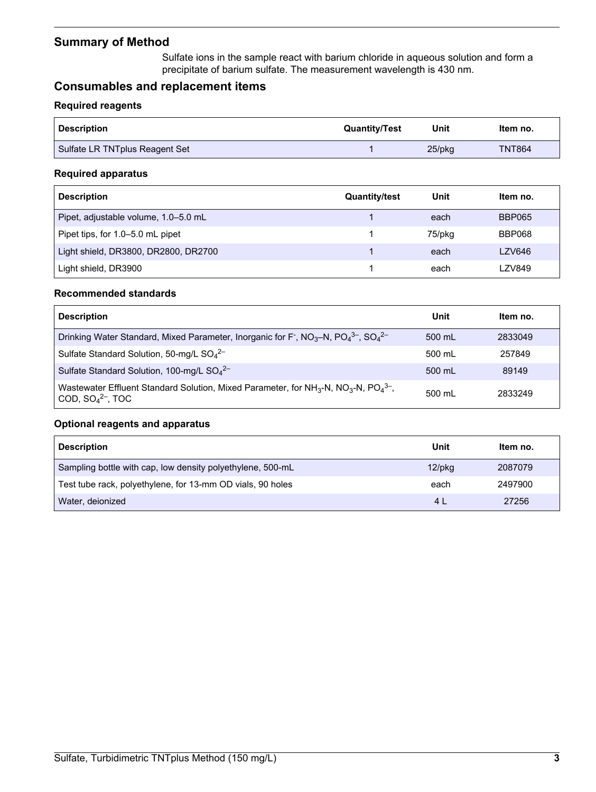# <span id="page-2-0"></span>**Summary of Method**

Sulfate ions in the sample react with barium chloride in aqueous solution and form a precipitate of barium sulfate. The measurement wavelength is 430 nm.

# **Consumables and replacement items**

#### **Required reagents**

| ' Description                  | <b>Quantity/Test</b> | Unit      | Item no.      |
|--------------------------------|----------------------|-----------|---------------|
| Sulfate LR TNTplus Reagent Set |                      | $25$ /pkq | <b>TNT864</b> |

#### **Required apparatus**

| <b>Description</b>                   | <b>Quantity/test</b> | Unit   | Item no.      |
|--------------------------------------|----------------------|--------|---------------|
| Pipet, adjustable volume, 1.0–5.0 mL |                      | each   | <b>BBP065</b> |
| Pipet tips, for 1.0–5.0 mL pipet     |                      | 75/pkg | <b>BBP068</b> |
| Light shield, DR3800, DR2800, DR2700 |                      | each   | <b>LZV646</b> |
| Light shield, DR3900                 |                      | each   | LZV849        |

#### **Recommended standards**

| <b>Description</b>                                                                                                                                        | Unit   | Item no. |
|-----------------------------------------------------------------------------------------------------------------------------------------------------------|--------|----------|
| Drinking Water Standard, Mixed Parameter, Inorganic for F, $NO3-N$ , $PO43-$ , $SO42-$                                                                    | 500 mL | 2833049  |
| Sulfate Standard Solution, 50-mg/L SO <sub>4</sub> <sup>2-</sup>                                                                                          | 500 mL | 257849   |
| Sulfate Standard Solution, 100-mg/L $SO42–$                                                                                                               | 500 mL | 89149    |
| Wastewater Effluent Standard Solution, Mixed Parameter, for NH <sub>3</sub> -N, NO <sub>3</sub> -N, PO <sub>4</sub> <sup>3-</sup> ,<br>COD, $SO42-$ , TOC | 500 mL | 2833249  |

## **Optional reagents and apparatus**

| <b>Description</b>                                         | Unit           | Item no. |
|------------------------------------------------------------|----------------|----------|
| Sampling bottle with cap, low density polyethylene, 500-mL | $12$ /p $kg$   | 2087079  |
| Test tube rack, polyethylene, for 13-mm OD vials, 90 holes | each           | 2497900  |
| Water, deionized                                           | 4 <sub>1</sub> | 27256    |